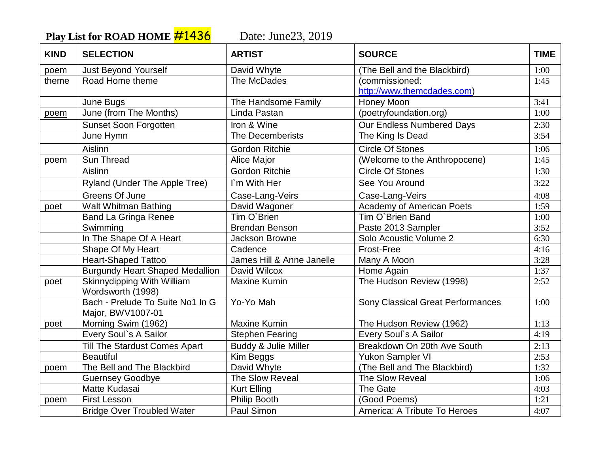Play List for ROAD HOME **#1436** Date: June23, 2019

| <b>KIND</b> | <b>SELECTION</b>                                      | <b>ARTIST</b>             | <b>SOURCE</b>                            | <b>TIME</b> |
|-------------|-------------------------------------------------------|---------------------------|------------------------------------------|-------------|
| poem        | <b>Just Beyond Yourself</b>                           | David Whyte               | (The Bell and the Blackbird)             | 1:00        |
| theme       | Road Home theme                                       | The McDades               | (commissioned:                           | 1:45        |
|             |                                                       |                           | http://www.themcdades.com)               |             |
|             | June Bugs                                             | The Handsome Family       | Honey Moon                               | 3:41        |
| poem        | June (from The Months)                                | Linda Pastan              | (poetryfoundation.org)                   | 1:00        |
|             | <b>Sunset Soon Forgotten</b>                          | Iron & Wine               | Our Endless Numbered Days                | 2:30        |
|             | June Hymn                                             | <b>The Decemberists</b>   | The King Is Dead                         | 3:54        |
|             | Aislinn                                               | <b>Gordon Ritchie</b>     | <b>Circle Of Stones</b>                  | 1:06        |
| poem        | Sun Thread                                            | Alice Major               | (Welcome to the Anthropocene)            | 1:45        |
|             | Aislinn                                               | <b>Gordon Ritchie</b>     | <b>Circle Of Stones</b>                  | 1:30        |
|             | Ryland (Under The Apple Tree)                         | I'm With Her              | See You Around                           | 3:22        |
|             | Greens Of June                                        | Case-Lang-Veirs           | Case-Lang-Veirs                          | 4:08        |
| poet        | <b>Walt Whitman Bathing</b>                           | David Wagoner             | <b>Academy of American Poets</b>         | 1:59        |
|             | <b>Band La Gringa Renee</b>                           | Tim O'Brien               | Tim O'Brien Band                         | 1:00        |
|             | Swimming                                              | <b>Brendan Benson</b>     | Paste 2013 Sampler                       | 3:52        |
|             | In The Shape Of A Heart                               | Jackson Browne            | Solo Acoustic Volume 2                   | 6:30        |
|             | Shape Of My Heart                                     | Cadence                   | Frost-Free                               | 4:16        |
|             | <b>Heart-Shaped Tattoo</b>                            | James Hill & Anne Janelle | Many A Moon                              | 3:28        |
|             | <b>Burgundy Heart Shaped Medallion</b>                | David Wilcox              | Home Again                               | 1:37        |
| poet        | Skinnydipping With William                            | <b>Maxine Kumin</b>       | The Hudson Review (1998)                 | 2:52        |
|             | Wordsworth (1998)                                     |                           |                                          |             |
|             | Bach - Prelude To Suite No1 In G<br>Major, BWV1007-01 | Yo-Yo Mah                 | <b>Sony Classical Great Performances</b> | 1:00        |
| poet        | Morning Swim (1962)                                   | <b>Maxine Kumin</b>       | The Hudson Review (1962)                 | 1:13        |
|             | Every Soul's A Sailor                                 | <b>Stephen Fearing</b>    | Every Soul's A Sailor                    | 4:19        |
|             | Till The Stardust Comes Apart                         | Buddy & Julie Miller      | Breakdown On 20th Ave South              | 2:13        |
|             | <b>Beautiful</b>                                      | Kim Beggs                 | Yukon Sampler VI                         | 2:53        |
| poem        | The Bell and The Blackbird                            | David Whyte               | (The Bell and The Blackbird)             | 1:32        |
|             | <b>Guernsey Goodbye</b>                               | The Slow Reveal           | The Slow Reveal                          | 1:06        |
|             | Matte Kudasai                                         | <b>Kurt Elling</b>        | The Gate                                 | 4:03        |
| poem        | <b>First Lesson</b>                                   | Philip Booth              | (Good Poems)                             | 1:21        |
|             | <b>Bridge Over Troubled Water</b>                     | Paul Simon                | America: A Tribute To Heroes             | 4:07        |